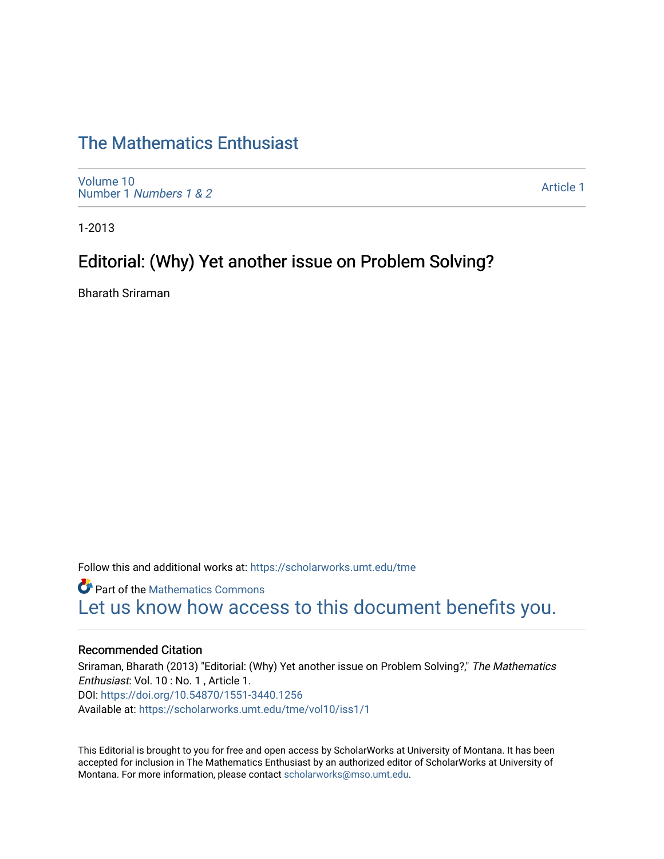# [The Mathematics Enthusiast](https://scholarworks.umt.edu/tme)

[Volume 10](https://scholarworks.umt.edu/tme/vol10) Number 1 [Numbers 1 & 2](https://scholarworks.umt.edu/tme/vol10/iss1)

[Article 1](https://scholarworks.umt.edu/tme/vol10/iss1/1) 

1-2013

## Editorial: (Why) Yet another issue on Problem Solving?

Bharath Sriraman

Follow this and additional works at: [https://scholarworks.umt.edu/tme](https://scholarworks.umt.edu/tme?utm_source=scholarworks.umt.edu%2Ftme%2Fvol10%2Fiss1%2F1&utm_medium=PDF&utm_campaign=PDFCoverPages) 

**Part of the [Mathematics Commons](http://network.bepress.com/hgg/discipline/174?utm_source=scholarworks.umt.edu%2Ftme%2Fvol10%2Fiss1%2F1&utm_medium=PDF&utm_campaign=PDFCoverPages)** [Let us know how access to this document benefits you.](https://goo.gl/forms/s2rGfXOLzz71qgsB2) 

#### Recommended Citation

Sriraman, Bharath (2013) "Editorial: (Why) Yet another issue on Problem Solving?," The Mathematics Enthusiast: Vol. 10 : No. 1 , Article 1. DOI:<https://doi.org/10.54870/1551-3440.1256> Available at: [https://scholarworks.umt.edu/tme/vol10/iss1/1](https://scholarworks.umt.edu/tme/vol10/iss1/1?utm_source=scholarworks.umt.edu%2Ftme%2Fvol10%2Fiss1%2F1&utm_medium=PDF&utm_campaign=PDFCoverPages) 

This Editorial is brought to you for free and open access by ScholarWorks at University of Montana. It has been accepted for inclusion in The Mathematics Enthusiast by an authorized editor of ScholarWorks at University of Montana. For more information, please contact [scholarworks@mso.umt.edu.](mailto:scholarworks@mso.umt.edu)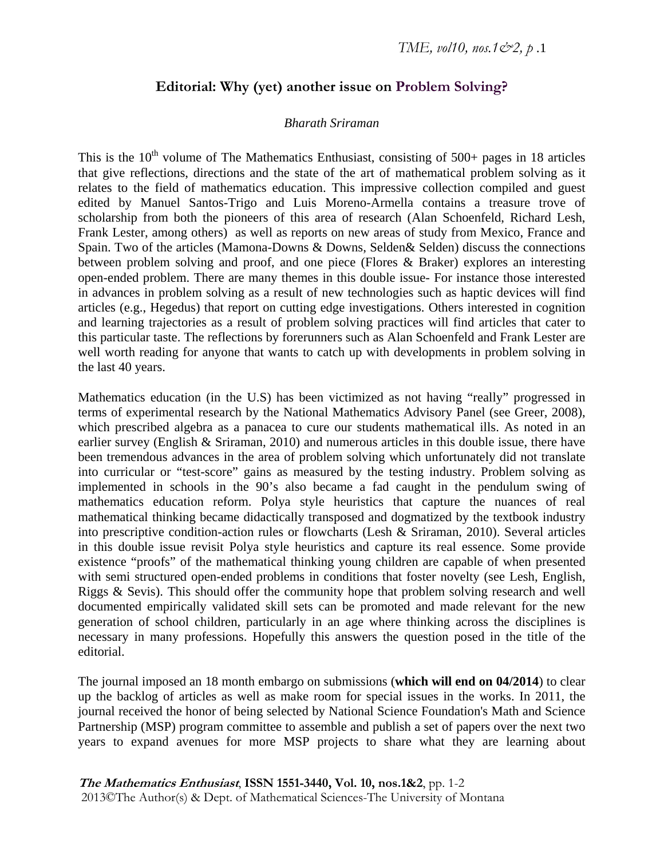## **Editorial: Why (yet) another issue on Problem Solving?**

### *Bharath Sriraman*

This is the  $10<sup>th</sup>$  volume of The Mathematics Enthusiast, consisting of 500+ pages in 18 articles that give reflections, directions and the state of the art of mathematical problem solving as it relates to the field of mathematics education. This impressive collection compiled and guest edited by Manuel Santos-Trigo and Luis Moreno-Armella contains a treasure trove of scholarship from both the pioneers of this area of research (Alan Schoenfeld, Richard Lesh, Frank Lester, among others) as well as reports on new areas of study from Mexico, France and Spain. Two of the articles (Mamona-Downs & Downs, Selden& Selden) discuss the connections between problem solving and proof, and one piece (Flores & Braker) explores an interesting open-ended problem. There are many themes in this double issue- For instance those interested in advances in problem solving as a result of new technologies such as haptic devices will find articles (e.g., Hegedus) that report on cutting edge investigations. Others interested in cognition and learning trajectories as a result of problem solving practices will find articles that cater to this particular taste. The reflections by forerunners such as Alan Schoenfeld and Frank Lester are well worth reading for anyone that wants to catch up with developments in problem solving in the last 40 years.

Mathematics education (in the U.S) has been victimized as not having "really" progressed in terms of experimental research by the National Mathematics Advisory Panel (see Greer, 2008), which prescribed algebra as a panacea to cure our students mathematical ills. As noted in an earlier survey (English & Sriraman, 2010) and numerous articles in this double issue, there have been tremendous advances in the area of problem solving which unfortunately did not translate into curricular or "test-score" gains as measured by the testing industry. Problem solving as implemented in schools in the 90's also became a fad caught in the pendulum swing of mathematics education reform. Polya style heuristics that capture the nuances of real mathematical thinking became didactically transposed and dogmatized by the textbook industry into prescriptive condition-action rules or flowcharts (Lesh & Sriraman, 2010). Several articles in this double issue revisit Polya style heuristics and capture its real essence. Some provide existence "proofs" of the mathematical thinking young children are capable of when presented with semi structured open-ended problems in conditions that foster novelty (see Lesh, English, Riggs & Sevis). This should offer the community hope that problem solving research and well documented empirically validated skill sets can be promoted and made relevant for the new generation of school children, particularly in an age where thinking across the disciplines is necessary in many professions. Hopefully this answers the question posed in the title of the editorial.

The journal imposed an 18 month embargo on submissions (**which will end on 04/2014**) to clear up the backlog of articles as well as make room for special issues in the works. In 2011, the journal received the honor of being selected by National Science Foundation's Math and Science Partnership (MSP) program committee to assemble and publish a set of papers over the next two years to expand avenues for more MSP projects to share what they are learning about

**The Mathematics Enthusiast**, **ISSN 1551-3440, Vol. 10, nos.1&2**, pp. 1-2 2013©The Author(s) & Dept. of Mathematical Sciences-The University of Montana